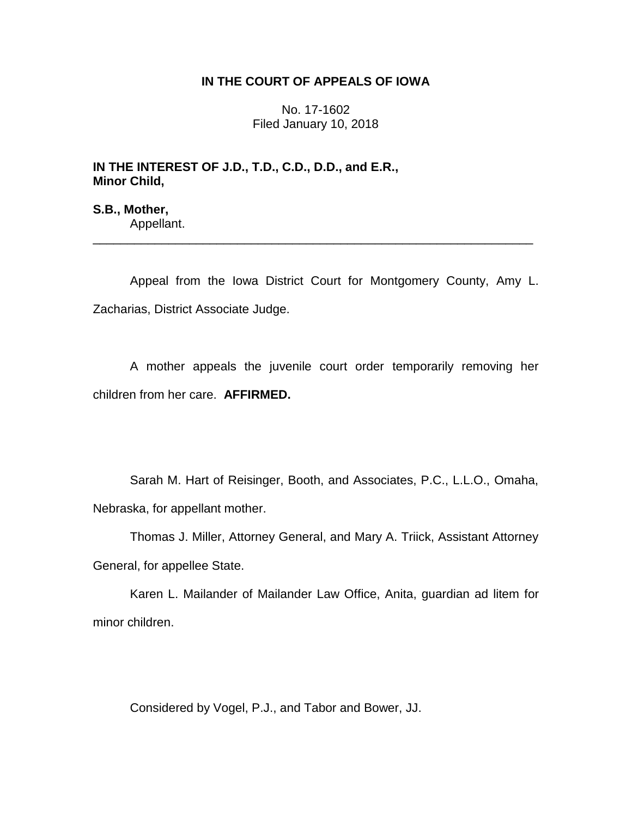## **IN THE COURT OF APPEALS OF IOWA**

No. 17-1602 Filed January 10, 2018

# **IN THE INTEREST OF J.D., T.D., C.D., D.D., and E.R., Minor Child,**

**S.B., Mother,** Appellant.

Appeal from the Iowa District Court for Montgomery County, Amy L. Zacharias, District Associate Judge.

\_\_\_\_\_\_\_\_\_\_\_\_\_\_\_\_\_\_\_\_\_\_\_\_\_\_\_\_\_\_\_\_\_\_\_\_\_\_\_\_\_\_\_\_\_\_\_\_\_\_\_\_\_\_\_\_\_\_\_\_\_\_\_\_

A mother appeals the juvenile court order temporarily removing her children from her care. **AFFIRMED.**

Sarah M. Hart of Reisinger, Booth, and Associates, P.C., L.L.O., Omaha, Nebraska, for appellant mother.

Thomas J. Miller, Attorney General, and Mary A. Triick, Assistant Attorney General, for appellee State.

Karen L. Mailander of Mailander Law Office, Anita, guardian ad litem for minor children.

Considered by Vogel, P.J., and Tabor and Bower, JJ.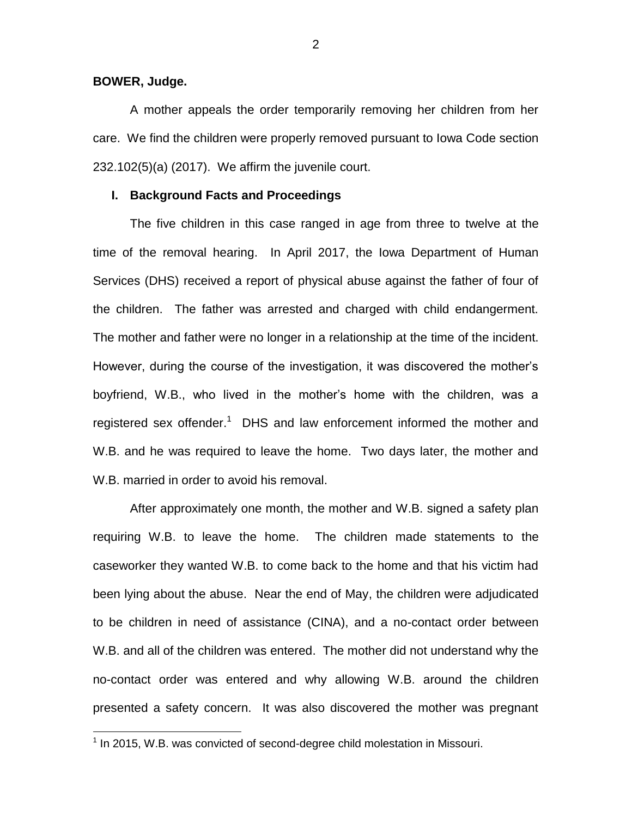**BOWER, Judge.**

 $\overline{a}$ 

A mother appeals the order temporarily removing her children from her care. We find the children were properly removed pursuant to Iowa Code section 232.102(5)(a) (2017). We affirm the juvenile court.

#### **I. Background Facts and Proceedings**

The five children in this case ranged in age from three to twelve at the time of the removal hearing. In April 2017, the Iowa Department of Human Services (DHS) received a report of physical abuse against the father of four of the children. The father was arrested and charged with child endangerment. The mother and father were no longer in a relationship at the time of the incident. However, during the course of the investigation, it was discovered the mother's boyfriend, W.B., who lived in the mother's home with the children, was a registered sex offender.<sup>1</sup> DHS and law enforcement informed the mother and W.B. and he was required to leave the home. Two days later, the mother and W.B. married in order to avoid his removal.

After approximately one month, the mother and W.B. signed a safety plan requiring W.B. to leave the home. The children made statements to the caseworker they wanted W.B. to come back to the home and that his victim had been lying about the abuse. Near the end of May, the children were adjudicated to be children in need of assistance (CINA), and a no-contact order between W.B. and all of the children was entered. The mother did not understand why the no-contact order was entered and why allowing W.B. around the children presented a safety concern. It was also discovered the mother was pregnant

 $<sup>1</sup>$  In 2015, W.B. was convicted of second-degree child molestation in Missouri.</sup>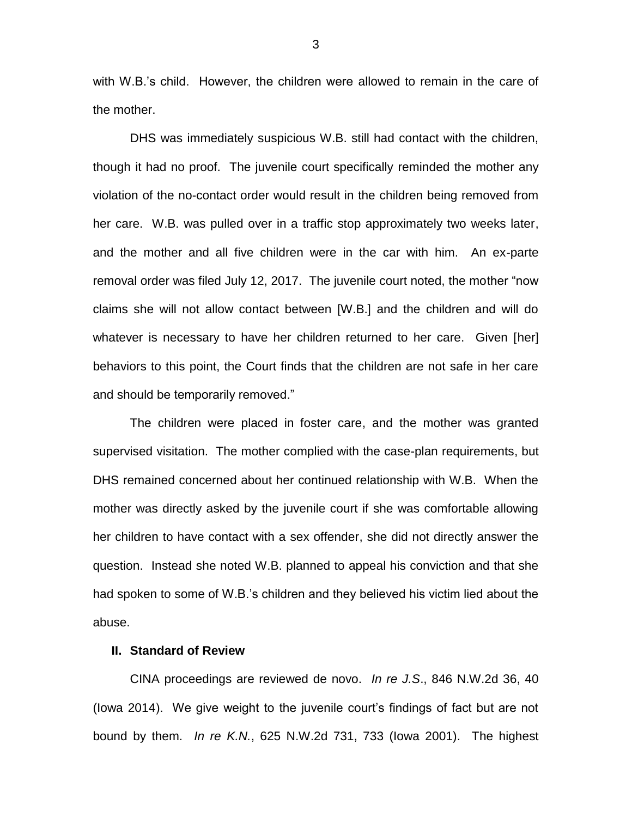with W.B.'s child. However, the children were allowed to remain in the care of the mother.

DHS was immediately suspicious W.B. still had contact with the children, though it had no proof. The juvenile court specifically reminded the mother any violation of the no-contact order would result in the children being removed from her care. W.B. was pulled over in a traffic stop approximately two weeks later, and the mother and all five children were in the car with him. An ex-parte removal order was filed July 12, 2017. The juvenile court noted, the mother "now claims she will not allow contact between [W.B.] and the children and will do whatever is necessary to have her children returned to her care. Given [her] behaviors to this point, the Court finds that the children are not safe in her care and should be temporarily removed."

The children were placed in foster care, and the mother was granted supervised visitation. The mother complied with the case-plan requirements, but DHS remained concerned about her continued relationship with W.B. When the mother was directly asked by the juvenile court if she was comfortable allowing her children to have contact with a sex offender, she did not directly answer the question. Instead she noted W.B. planned to appeal his conviction and that she had spoken to some of W.B.'s children and they believed his victim lied about the abuse.

### **II. Standard of Review**

CINA proceedings are reviewed de novo. *In re J.S*., 846 N.W.2d 36, 40 (Iowa 2014). We give weight to the juvenile court's findings of fact but are not bound by them. *In re K.N.*, 625 N.W.2d 731, 733 (Iowa 2001). The highest

3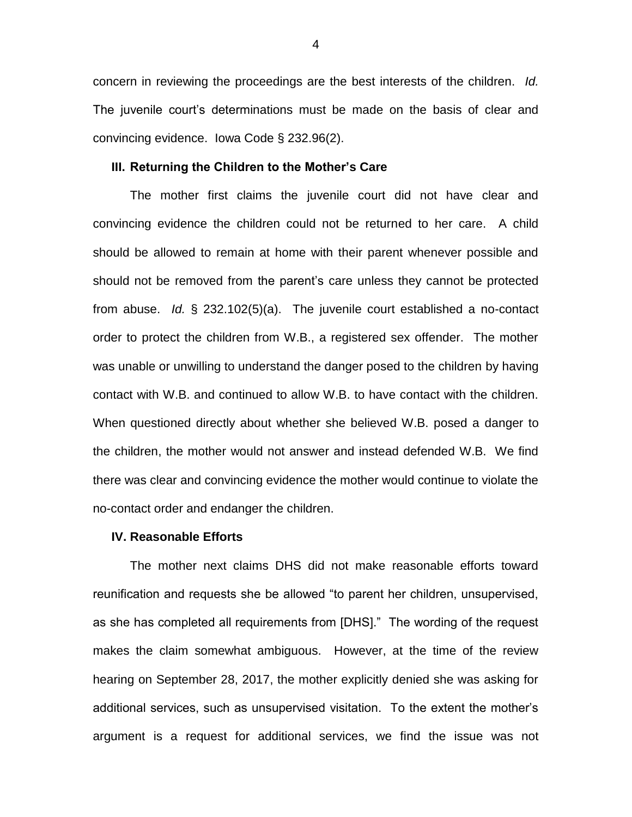concern in reviewing the proceedings are the best interests of the children. *Id.* The juvenile court's determinations must be made on the basis of clear and convincing evidence. Iowa Code § 232.96(2).

#### **III. Returning the Children to the Mother's Care**

The mother first claims the juvenile court did not have clear and convincing evidence the children could not be returned to her care. A child should be allowed to remain at home with their parent whenever possible and should not be removed from the parent's care unless they cannot be protected from abuse. *Id.* § 232.102(5)(a). The juvenile court established a no-contact order to protect the children from W.B., a registered sex offender. The mother was unable or unwilling to understand the danger posed to the children by having contact with W.B. and continued to allow W.B. to have contact with the children. When questioned directly about whether she believed W.B. posed a danger to the children, the mother would not answer and instead defended W.B. We find there was clear and convincing evidence the mother would continue to violate the no-contact order and endanger the children.

#### **IV. Reasonable Efforts**

The mother next claims DHS did not make reasonable efforts toward reunification and requests she be allowed "to parent her children, unsupervised, as she has completed all requirements from [DHS]." The wording of the request makes the claim somewhat ambiguous. However, at the time of the review hearing on September 28, 2017, the mother explicitly denied she was asking for additional services, such as unsupervised visitation. To the extent the mother's argument is a request for additional services, we find the issue was not

4